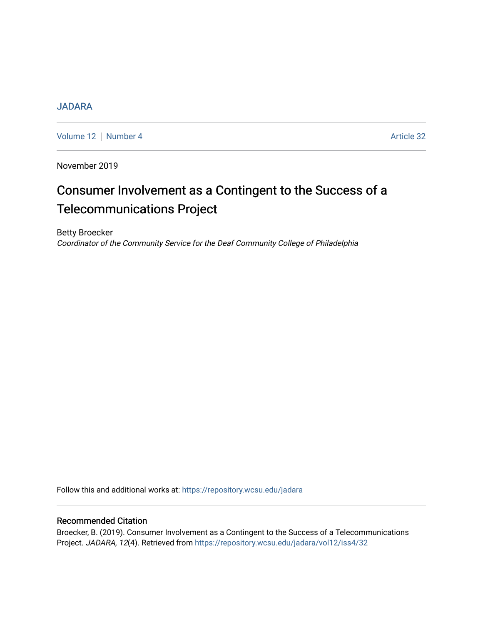# [JADARA](https://repository.wcsu.edu/jadara)

[Volume 12](https://repository.wcsu.edu/jadara/vol12) | [Number 4](https://repository.wcsu.edu/jadara/vol12/iss4) Article 32

November 2019

# Consumer Involvement as a Contingent to the Success of a Telecommunications Project

Betty Broecker Coordinator of the Community Service for the Deaf Community College of Philadelphia

Follow this and additional works at: [https://repository.wcsu.edu/jadara](https://repository.wcsu.edu/jadara?utm_source=repository.wcsu.edu%2Fjadara%2Fvol12%2Fiss4%2F32&utm_medium=PDF&utm_campaign=PDFCoverPages)

# Recommended Citation

Broecker, B. (2019). Consumer Involvement as a Contingent to the Success of a Telecommunications Project. JADARA, 12(4). Retrieved from [https://repository.wcsu.edu/jadara/vol12/iss4/32](https://repository.wcsu.edu/jadara/vol12/iss4/32?utm_source=repository.wcsu.edu%2Fjadara%2Fvol12%2Fiss4%2F32&utm_medium=PDF&utm_campaign=PDFCoverPages)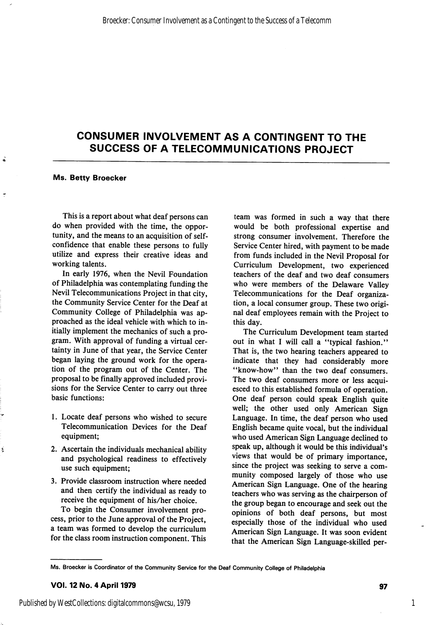# CONSUMER INVOLVEMENT AS A CONTINGENT TO THE SUCCESS OF A TELECOMMUNICATIONS PROJECT

#### Ms. Betty Broecker

Á

ź

This is a report about what deaf persons can do when provided with the time, the oppor tunity, and the means to an acquisition of selfconfidence that enable these persons to fully utilize and express their creative ideas and working talents.

In early 1976, when the Nevil Foundation of Philadelphia was contemplating funding the Nevil Telecommunications Project in that city, the Community Service Center for the Deaf at Community College of Philadelphia was ap proached as the ideal vehicle with which to in itially implement the mechanics of such a pro gram. With approval of funding a virtual cer tainty in June of that year, the Service Center began laying the ground work for the opera tion of the program out of the Center. The proposal to be finally approved included provi sions for the Service Center to carry out three basic functions:

- 1. Locate deaf persons who wished to secure Telecommunication Devices for the Deaf equipment;
- 2. Ascertain the individuals mechanical ability and psychological readiness to effectively use such equipment;
- 3. Provide classroom instruction where needed and then certify the individual as ready to receive the equipment of his/her choice.

To begin the Consumer involvement pro cess, prior to the June approval of the Project, a team was formed to develop the curriculum for the class room instruction component. This

team was formed in such a way that there would be both professional expertise and strong consumer involvement. Therefore the Service Center hired, with payment to be made from funds included in the Nevil Proposal for Curriculum Development, two experienced teachers of the deaf and two deaf consumers who were members of the Delaware Valley Telecommunications for the Deaf organiza tion, a local consumer group. These two origi nal deaf employees remain with the Project to this day.

The Curriculum Development team started out in what I will call a "typical fashion." That is, the two hearing teachers appeared to indicate that they had considerably more "know-how" than the two deaf consumers. The two deaf consumers more or less acqui esced to this established formula of operation. One deaf person could speak English quite well; the other used only American Sign Language. In time, the deaf person who used English became quite vocal, but the individual who used American Sign Language declined to speak up, although it would be this individual's views that would be of primary importance, since the project was seeking to serve a com munity composed largely of those who use American Sign Language. One of the hearing teachers who was serving as the chairperson of the group began to encourage and seek out the opinions of both deaf persons, but most especially those of the individual who used American Sign Language. It was soon evident that the American Sign Language-skilled per-

1

Ms. Broecker is Coordinator of the Community Service for the Deaf Community College of Philadelphia